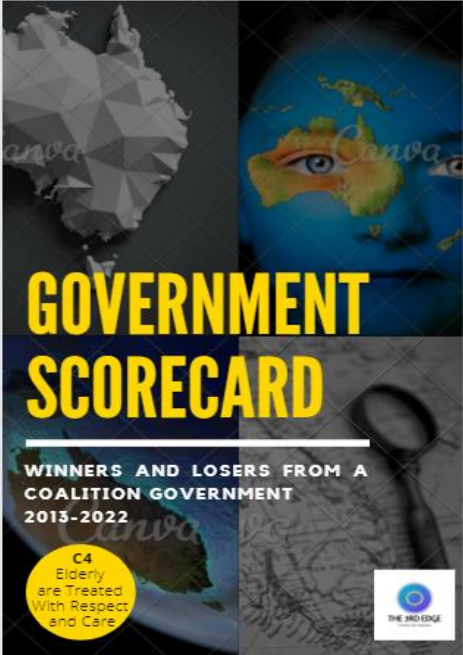# GOVERNMENT SCORECARD

WINNERS AND LOSERS FROM **COALITION GOVERNMENT** 2013-2022

 $C<sub>4</sub>$ Elderly are Treated **lith Respect** and Care

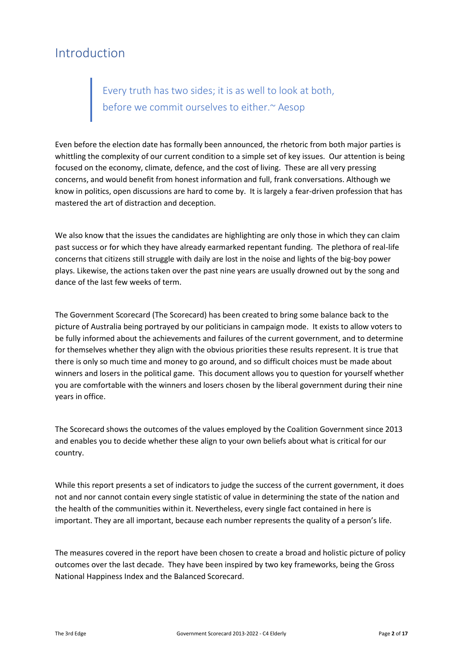# Introduction

# Every truth has two sides; it is as well to look at both, before we commit ourselves to either.~ Aesop

Even before the election date has formally been announced, the rhetoric from both major parties is whittling the complexity of our current condition to a simple set of key issues. Our attention is being focused on the economy, climate, defence, and the cost of living. These are all very pressing concerns, and would benefit from honest information and full, frank conversations. Although we know in politics, open discussions are hard to come by. It is largely a fear-driven profession that has mastered the art of distraction and deception.

We also know that the issues the candidates are highlighting are only those in which they can claim past success or for which they have already earmarked repentant funding. The plethora of real-life concerns that citizens still struggle with daily are lost in the noise and lights of the big-boy power plays. Likewise, the actions taken over the past nine years are usually drowned out by the song and dance of the last few weeks of term.

The Government Scorecard (The Scorecard) has been created to bring some balance back to the picture of Australia being portrayed by our politicians in campaign mode. It exists to allow voters to be fully informed about the achievements and failures of the current government, and to determine for themselves whether they align with the obvious priorities these results represent. It is true that there is only so much time and money to go around, and so difficult choices must be made about winners and losers in the political game. This document allows you to question for yourself whether you are comfortable with the winners and losers chosen by the liberal government during their nine years in office.

The Scorecard shows the outcomes of the values employed by the Coalition Government since 2013 and enables you to decide whether these align to your own beliefs about what is critical for our country.

While this report presents a set of indicators to judge the success of the current government, it does not and nor cannot contain every single statistic of value in determining the state of the nation and the health of the communities within it. Nevertheless, every single fact contained in here is important. They are all important, because each number represents the quality of a person's life.

The measures covered in the report have been chosen to create a broad and holistic picture of policy outcomes over the last decade. They have been inspired by two key frameworks, being the Gross National Happiness Index and the Balanced Scorecard.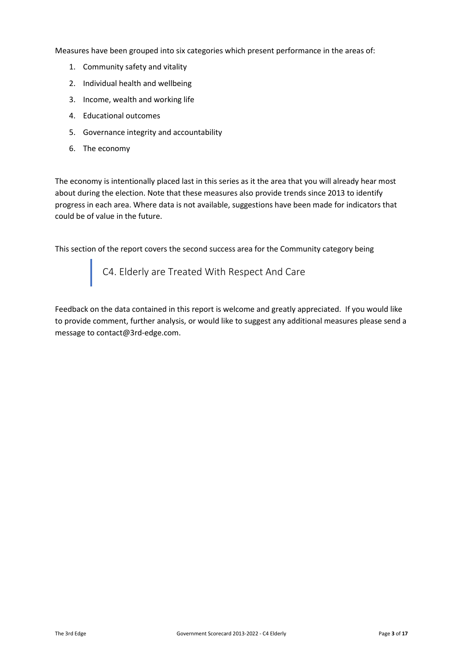Measures have been grouped into six categories which present performance in the areas of:

- 1. Community safety and vitality
- 2. Individual health and wellbeing
- 3. Income, wealth and working life
- 4. Educational outcomes
- 5. Governance integrity and accountability
- 6. The economy

The economy is intentionally placed last in this series as it the area that you will already hear most about during the election. Note that these measures also provide trends since 2013 to identify progress in each area. Where data is not available, suggestions have been made for indicators that could be of value in the future.

This section of the report covers the second success area for the Community category being

C4. Elderly are Treated With Respect And Care

Feedback on the data contained in this report is welcome and greatly appreciated. If you would like to provide comment, further analysis, or would like to suggest any additional measures please send a message to contact@3rd-edge.com.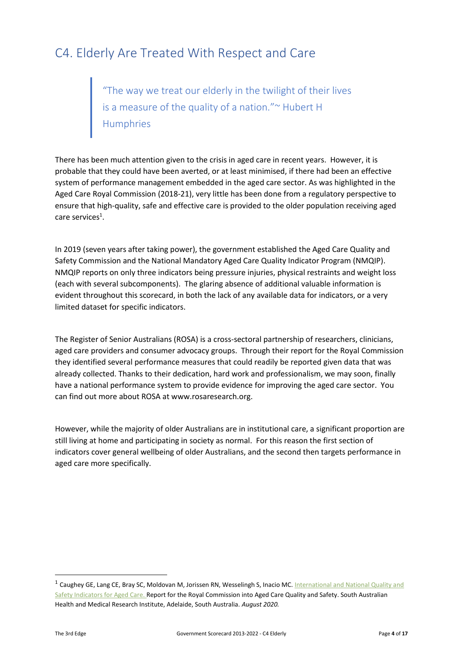# C4. Elderly Are Treated With Respect and Care

"The way we treat our elderly in the twilight of their lives is a measure of the quality of a nation."~ Hubert H Humphries

There has been much attention given to the crisis in aged care in recent years. However, it is probable that they could have been averted, or at least minimised, if there had been an effective system of performance management embedded in the aged care sector. As was highlighted in the Aged Care Royal Commission (2018-21), very little has been done from a regulatory perspective to ensure that high-quality, safe and effective care is provided to the older population receiving aged care services<sup>1</sup>.

In 2019 (seven years after taking power), the government established the Aged Care Quality and Safety Commission and the National Mandatory Aged Care Quality Indicator Program (NMQIP). NMQIP reports on only three indicators being pressure injuries, physical restraints and weight loss (each with several subcomponents). The glaring absence of additional valuable information is evident throughout this scorecard, in both the lack of any available data for indicators, or a very limited dataset for specific indicators.

The Register of Senior Australians (ROSA) is a cross-sectoral partnership of researchers, clinicians, aged care providers and consumer advocacy groups. Through their report for the Royal Commission they identified several performance measures that could readily be reported given data that was already collected. Thanks to their dedication, hard work and professionalism, we may soon, finally have a national performance system to provide evidence for improving the aged care sector. You can find out more about ROSA at www.rosaresearch.org.

However, while the majority of older Australians are in institutional care, a significant proportion are still living at home and participating in society as normal. For this reason the first section of indicators cover general wellbeing of older Australians, and the second then targets performance in aged care more specifically.

<sup>&</sup>lt;sup>1</sup> Caughey GE, Lang CE, Bray SC, Moldovan M, Jorissen RN, Wesselingh S, Inacio MC. International and National Quality and [Safety Indicators for Aged Care. R](https://agedcare.royalcommission.gov.au/publications/research-paper-8-international-and-national-quality-and-safety-indicators-aged-care)eport for the Royal Commission into Aged Care Quality and Safety. South Australian Health and Medical Research Institute, Adelaide, South Australia. *August 2020.*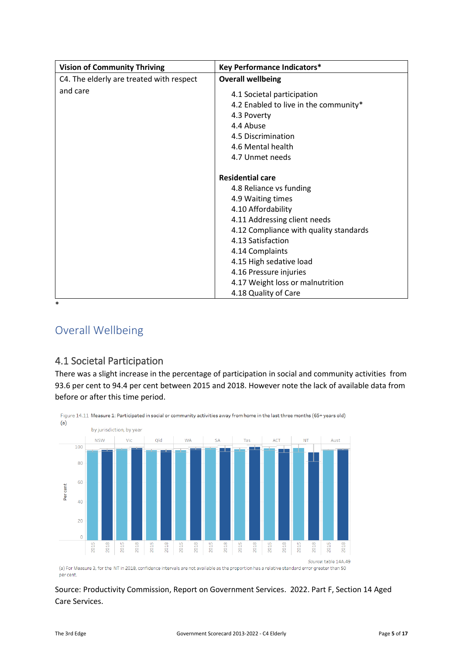| <b>Vision of Community Thriving</b>      | <b>Key Performance Indicators*</b>                                                                                                                            |
|------------------------------------------|---------------------------------------------------------------------------------------------------------------------------------------------------------------|
| C4. The elderly are treated with respect | <b>Overall wellbeing</b>                                                                                                                                      |
| and care                                 | 4.1 Societal participation<br>4.2 Enabled to live in the community*<br>4.3 Poverty<br>4.4 Abuse<br>4.5 Discrimination<br>4.6 Mental health<br>4.7 Unmet needs |
|                                          | <b>Residential care</b>                                                                                                                                       |
|                                          | 4.8 Reliance vs funding                                                                                                                                       |
|                                          | 4.9 Waiting times                                                                                                                                             |
|                                          | 4.10 Affordability                                                                                                                                            |
|                                          | 4.11 Addressing client needs                                                                                                                                  |
|                                          | 4.12 Compliance with quality standards                                                                                                                        |
|                                          | 4.13 Satisfaction                                                                                                                                             |
|                                          | 4.14 Complaints                                                                                                                                               |
|                                          | 4.15 High sedative load                                                                                                                                       |
|                                          | 4.16 Pressure injuries                                                                                                                                        |
|                                          | 4.17 Weight loss or malnutrition                                                                                                                              |
|                                          | 4.18 Quality of Care                                                                                                                                          |

\*

# Overall Wellbeing

# 4.1 Societal Participation

There was a slight increase in the percentage of participation in social and community activities from 93.6 per cent to 94.4 per cent between 2015 and 2018. However note the lack of available data from before or after this time period.



(a) For Measure 3, for the NT in 2018, confidence intervals are not available as the proportion has a relative standard error greater than 50 per cent.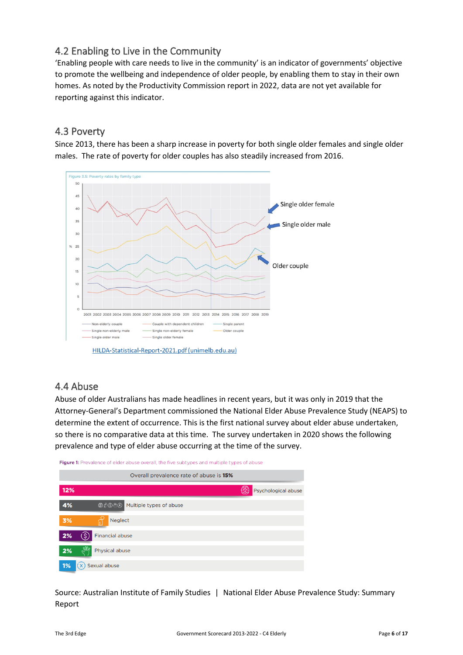## 4.2 Enabling to Live in the Community

'Enabling people with care needs to live in the community' is an indicator of governments' objective to promote the wellbeing and independence of older people, by enabling them to stay in their own homes. As noted by the Productivity Commission report in 2022, data are not yet available for reporting against this indicator.

#### 4.3 Poverty

Since 2013, there has been a sharp increase in poverty for both single older females and single older males. The rate of poverty for older couples has also steadily increased from 2016.



HILDA-Statistical-Report-2021.pdf (unimelb.edu.au)

## 4.4 Abuse

Abuse of older Australians has made headlines in recent years, but it was only in 2019 that the Attorney-General's Department commissioned the National Elder Abuse Prevalence Study (NEAPS) to determine the extent of occurrence. This is the first national survey about elder abuse undertaken, so there is no comparative data at this time. The survey undertaken in 2020 shows the following prevalence and type of elder abuse occurring at the time of the survey.



Source: Australian Institute of Family Studies | National Elder Abuse Prevalence Study: Summary Report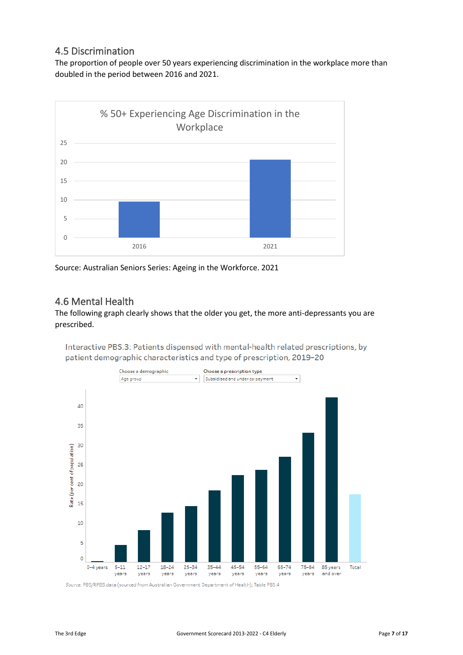#### 4.5 Discrimination

The proportion of people over 50 years experiencing discrimination in the workplace more than doubled in the period between 2016 and 2021.



Source: Australian Seniors Series: Ageing in the Workforce. 2021

#### 4.6 Mental Health

#### The following graph clearly shows that the older you get, the more anti-depressants you are prescribed.

Interactive PBS.3: Patients dispensed with mental-health related prescriptions, by patient demographic characteristics and type of prescription, 2019-20



Source: PBS/RPBS data (sourced from Australian Government Department of Health); Table PBS.4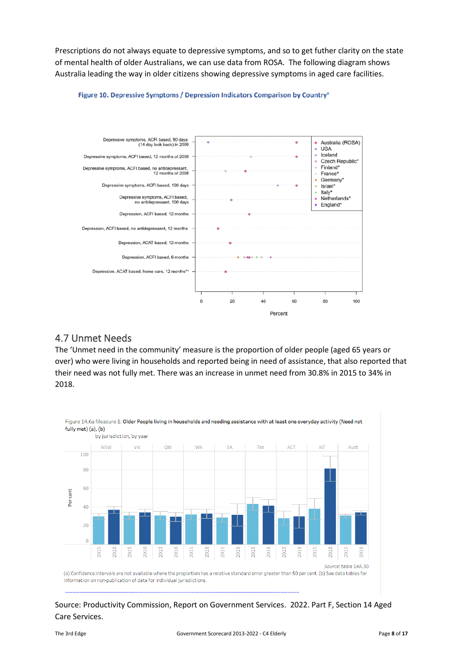Prescriptions do not always equate to depressive symptoms, and so to get futher clarity on the state of mental health of older Australians, we can use data from ROSA. The following diagram shows Australia leading the way in older citizens showing depressive symptoms in aged care facilities.



#### Figure 10. Depressive Symptoms / Depression Indicators Comparison by Country<sup>#</sup>

#### 4.7 Unmet Needs

The 'Unmet need in the community' measure is the proportion of older people (aged 65 years or over) who were living in households and reported being in need of assistance, that also reported that their need was not fully met. There was an increase in unmet need from 30.8% in 2015 to 34% in 2018.

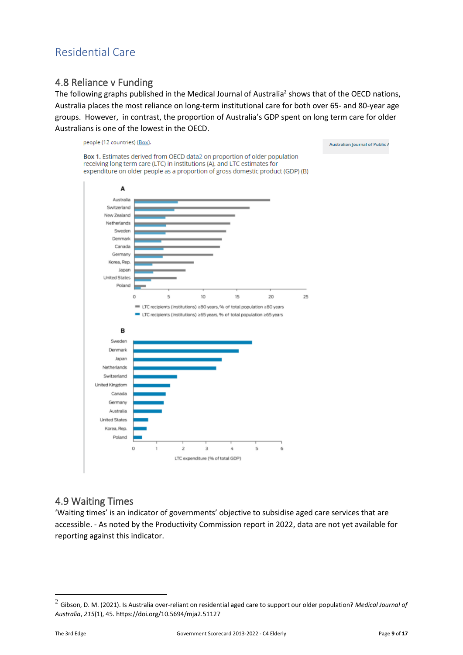# Residential Care

#### 4.8 Reliance v Funding

The following graphs published in the Medical Journal of Australia<sup>2</sup> shows that of the OECD nations, Australia places the most reliance on long-term institutional care for both over 65- and 80-year age groups. However, in contrast, the proportion of Australia's GDP spent on long term care for older Australians is one of the lowest in the OECD.



#### 4.9 Waiting Times

'Waiting times' is an indicator of governments' objective to subsidise aged care services that are accessible. - As noted by the Productivity Commission report in 2022, data are not yet available for reporting against this indicator.

Australian Journal of Public A

<sup>2</sup> Gibson, D. M. (2021). Is Australia over‐reliant on residential aged care to support our older population? *Medical Journal of Australia*, *215*(1), 45. https://doi.org/10.5694/mja2.51127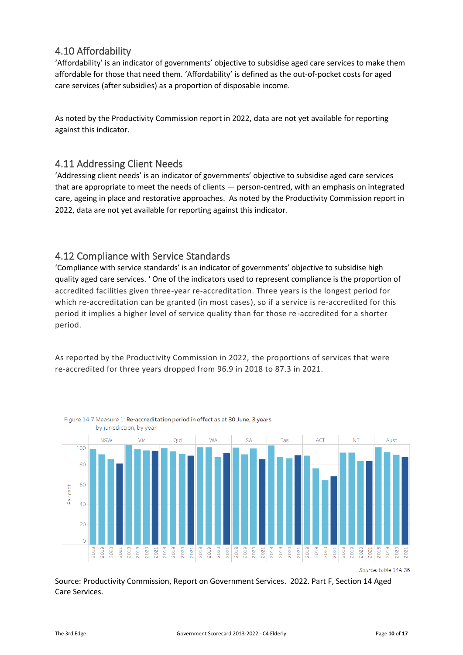## 4.10 Affordability

'Affordability' is an indicator of governments' objective to subsidise aged care services to make them affordable for those that need them. 'Affordability' is defined as the out-of-pocket costs for aged care services (after subsidies) as a proportion of disposable income.

As noted by the Productivity Commission report in 2022, data are not yet available for reporting against this indicator.

#### 4.11 Addressing Client Needs

'Addressing client needs' is an indicator of governments' objective to subsidise aged care services that are appropriate to meet the needs of clients — person-centred, with an emphasis on integrated care, ageing in place and restorative approaches. As noted by the Productivity Commission report in 2022, data are not yet available for reporting against this indicator.

#### 4.12 Compliance with Service Standards

Figure 14.7 Measure 1: Re-accreditation period in effect as at 30 June, 3 years

'Compliance with service standards' is an indicator of governments' objective to subsidise high quality aged care services. ' One of the indicators used to represent compliance is the proportion of accredited facilities given three-year re-accreditation. Three years is the longest period for which re-accreditation can be granted (in most cases), so if a service is re-accredited for this period it implies a higher level of service quality than for those re-accredited for a shorter period.

As reported by the Productivity Commission in 2022, the proportions of services that were re-accredited for three years dropped from 96.9 in 2018 to 87.3 in 2021.



Source: table 14A.36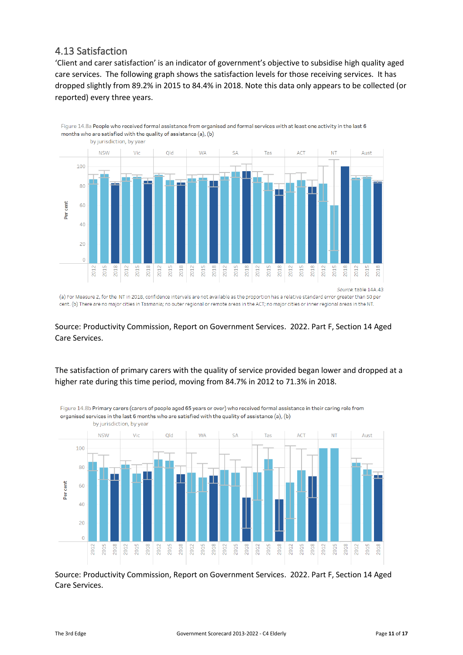### 4.13 Satisfaction

'Client and carer satisfaction' is an indicator of government's objective to subsidise high quality aged care services. The following graph shows the satisfaction levels for those receiving services. It has dropped slightly from 89.2% in 2015 to 84.4% in 2018. Note this data only appears to be collected (or reported) every three years.



Source: Productivity Commission, Report on Government Services. 2022. Part F, Section 14 Aged Care Services.

#### The satisfaction of primary carers with the quality of service provided began lower and dropped at a higher rate during this time period, moving from 84.7% in 2012 to 71.3% in 2018.



Figure 14.8b Primary carers (carers of people aged 65 years or over) who received formal assistance in their caring role from organised services in the last 6 months who are satisfied with the quality of assistance (a), (b)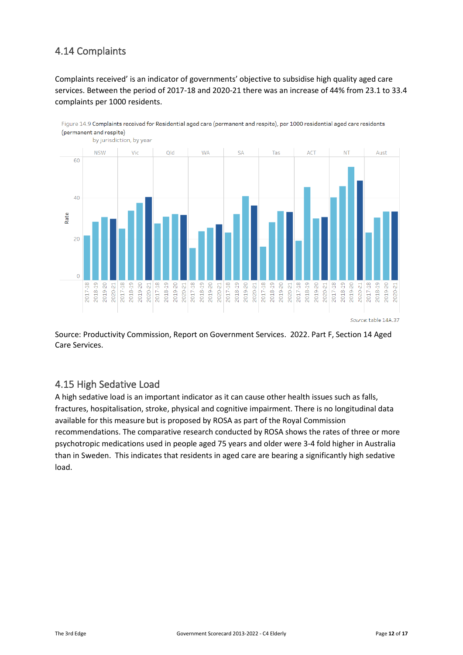# 4.14 Complaints

Complaints received' is an indicator of governments' objective to subsidise high quality aged care services. Between the period of 2017-18 and 2020-21 there was an increase of 44% from 23.1 to 33.4 complaints per 1000 residents.



Figure 14.9 Complaints received for Residential aged care (permanent and respite), per 1000 residential aged care residents (permanent and respite)

Source: Productivity Commission, Report on Government Services. 2022. Part F, Section 14 Aged Care Services.

#### 4.15 High Sedative Load

A high sedative load is an important indicator as it can cause other health issues such as falls, fractures, hospitalisation, stroke, physical and cognitive impairment. There is no longitudinal data available for this measure but is proposed by ROSA as part of the Royal Commission recommendations. The comparative research conducted by ROSA shows the rates of three or more psychotropic medications used in people aged 75 years and older were 3-4 fold higher in Australia than in Sweden. This indicates that residents in aged care are bearing a significantly high sedative load.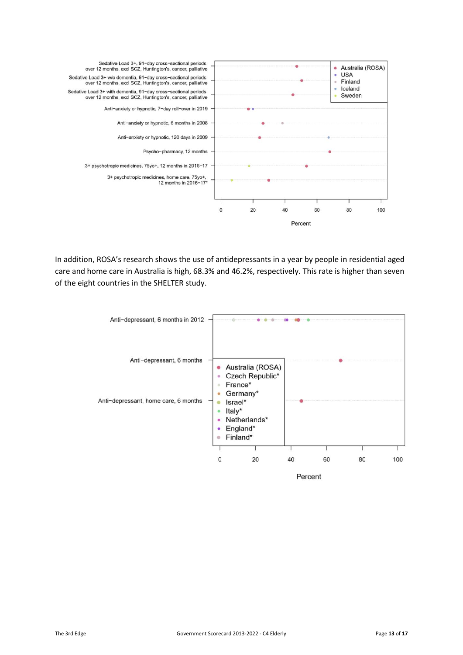

In addition, ROSA's research shows the use of antidepressants in a year by people in residential aged care and home care in Australia is high, 68.3% and 46.2%, respectively. This rate is higher than seven of the eight countries in the SHELTER study.

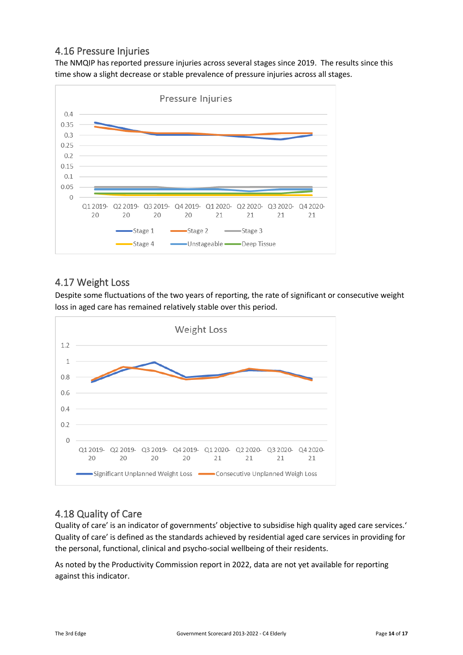## 4.16 Pressure Injuries

The NMQIP has reported pressure injuries across several stages since 2019. The results since this time show a slight decrease or stable prevalence of pressure injuries across all stages.



## 4.17 Weight Loss

Despite some fluctuations of the two years of reporting, the rate of significant or consecutive weight loss in aged care has remained relatively stable over this period.



# 4.18 Quality of Care

Quality of care' is an indicator of governments' objective to subsidise high quality aged care services.' Quality of care' is defined as the standards achieved by residential aged care services in providing for the personal, functional, clinical and psycho-social wellbeing of their residents.

As noted by the Productivity Commission report in 2022, data are not yet available for reporting against this indicator.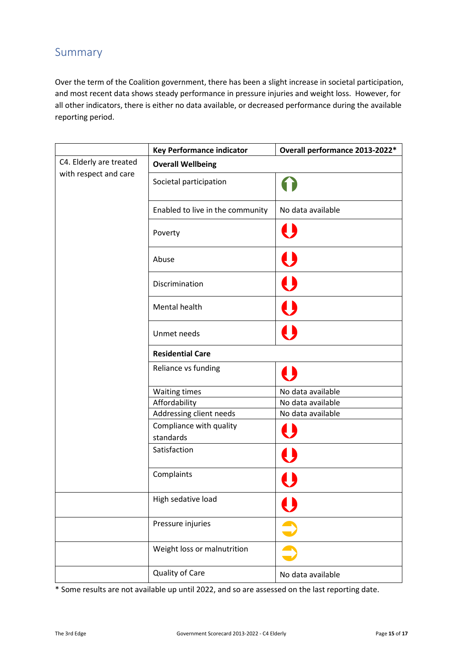# Summary

Over the term of the Coalition government, there has been a slight increase in societal participation, and most recent data shows steady performance in pressure injuries and weight loss. However, for all other indicators, there is either no data available, or decreased performance during the available reporting period.

|                         | <b>Key Performance indicator</b>     | Overall performance 2013-2022* |  |
|-------------------------|--------------------------------------|--------------------------------|--|
| C4. Elderly are treated | <b>Overall Wellbeing</b>             |                                |  |
| with respect and care   | Societal participation               |                                |  |
|                         | Enabled to live in the community     | No data available              |  |
|                         | Poverty                              | U                              |  |
|                         | Abuse                                | $\mathbf{\Theta}$              |  |
|                         | Discrimination                       | $\boldsymbol{\Theta}$          |  |
|                         | Mental health                        | U                              |  |
|                         | Unmet needs                          | $\bullet$                      |  |
|                         | <b>Residential Care</b>              |                                |  |
|                         | Reliance vs funding                  | $\Box$                         |  |
|                         | <b>Waiting times</b>                 | No data available              |  |
|                         | Affordability                        | No data available              |  |
|                         | Addressing client needs              | No data available              |  |
|                         | Compliance with quality<br>standards | U                              |  |
|                         | Satisfaction                         | $\boldsymbol{\Theta}$          |  |
|                         | Complaints                           |                                |  |
|                         | High sedative load                   | $\bigcup$                      |  |
|                         | Pressure injuries                    | $\bullet$                      |  |
|                         | Weight loss or malnutrition          |                                |  |
|                         | Quality of Care                      | No data available              |  |

\* Some results are not available up until 2022, and so are assessed on the last reporting date.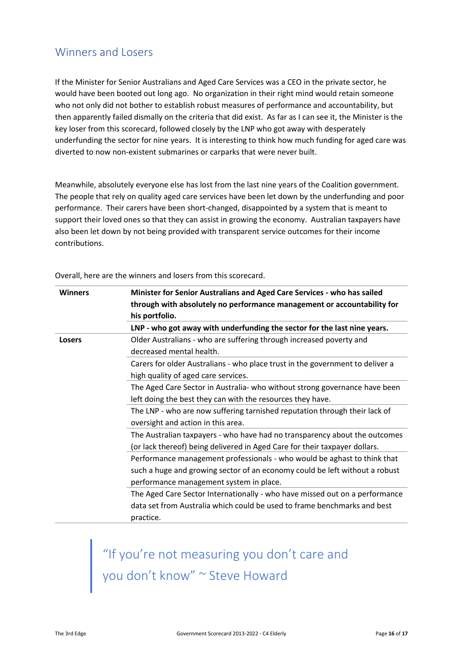# Winners and Losers

If the Minister for Senior Australians and Aged Care Services was a CEO in the private sector, he would have been booted out long ago. No organization in their right mind would retain someone who not only did not bother to establish robust measures of performance and accountability, but then apparently failed dismally on the criteria that did exist. As far as I can see it, the Minister is the key loser from this scorecard, followed closely by the LNP who got away with desperately underfunding the sector for nine years. It is interesting to think how much funding for aged care was diverted to now non-existent submarines or carparks that were never built.

Meanwhile, absolutely everyone else has lost from the last nine years of the Coalition government. The people that rely on quality aged care services have been let down by the underfunding and poor performance. Their carers have been short-changed, disappointed by a system that is meant to support their loved ones so that they can assist in growing the economy. Australian taxpayers have also been let down by not being provided with transparent service outcomes for their income contributions.

| <b>Winners</b> | Minister for Senior Australians and Aged Care Services - who has sailed<br>through with absolutely no performance management or accountability for<br>his portfolio. |  |
|----------------|----------------------------------------------------------------------------------------------------------------------------------------------------------------------|--|
|                | LNP - who got away with underfunding the sector for the last nine years.                                                                                             |  |
| <b>Losers</b>  | Older Australians - who are suffering through increased poverty and                                                                                                  |  |
|                | decreased mental health.                                                                                                                                             |  |
|                | Carers for older Australians - who place trust in the government to deliver a                                                                                        |  |
|                | high quality of aged care services.                                                                                                                                  |  |
|                | The Aged Care Sector in Australia- who without strong governance have been                                                                                           |  |
|                | left doing the best they can with the resources they have.                                                                                                           |  |
|                | The LNP - who are now suffering tarnished reputation through their lack of                                                                                           |  |
|                | oversight and action in this area.                                                                                                                                   |  |
|                | The Australian taxpayers - who have had no transparency about the outcomes                                                                                           |  |
|                | (or lack thereof) being delivered in Aged Care for their taxpayer dollars.                                                                                           |  |
|                | Performance management professionals - who would be aghast to think that                                                                                             |  |
|                | such a huge and growing sector of an economy could be left without a robust                                                                                          |  |
|                | performance management system in place.                                                                                                                              |  |
|                | The Aged Care Sector Internationally - who have missed out on a performance                                                                                          |  |
|                | data set from Australia which could be used to frame benchmarks and best                                                                                             |  |
|                | practice.                                                                                                                                                            |  |

Overall, here are the winners and losers from this scorecard.

"If you're not measuring you don't care and you don't know" ~ Steve Howard